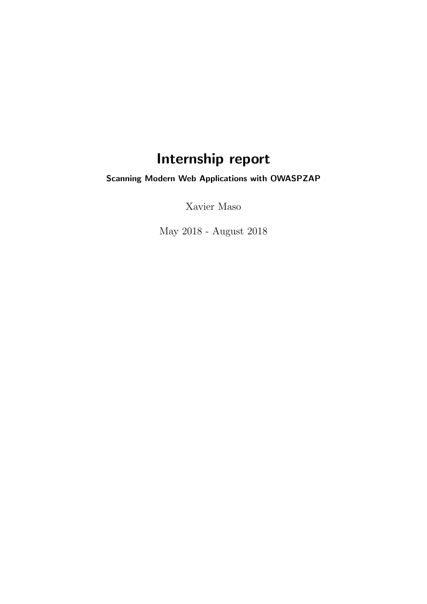# Internship report

Scanning Modern Web Applications with OWASPZAP

Xavier Maso

May 2018 - August 2018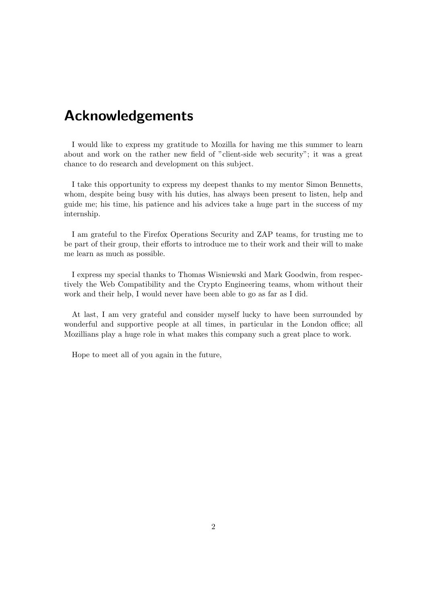## Acknowledgements

I would like to express my gratitude to Mozilla for having me this summer to learn about and work on the rather new field of "client-side web security"; it was a great chance to do research and development on this subject.

I take this opportunity to express my deepest thanks to my mentor Simon Bennetts, whom, despite being busy with his duties, has always been present to listen, help and guide me; his time, his patience and his advices take a huge part in the success of my internship.

I am grateful to the Firefox Operations Security and ZAP teams, for trusting me to be part of their group, their efforts to introduce me to their work and their will to make me learn as much as possible.

I express my special thanks to Thomas Wisniewski and Mark Goodwin, from respectively the Web Compatibility and the Crypto Engineering teams, whom without their work and their help, I would never have been able to go as far as I did.

At last, I am very grateful and consider myself lucky to have been surrounded by wonderful and supportive people at all times, in particular in the London office; all Mozillians play a huge role in what makes this company such a great place to work.

Hope to meet all of you again in the future,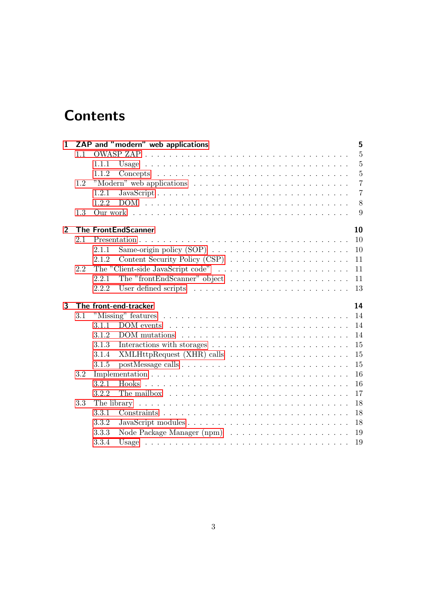# **Contents**

| $\mathbf{1}$   |     |       | ZAP and "modern" web applications                                                      | 5              |
|----------------|-----|-------|----------------------------------------------------------------------------------------|----------------|
|                | 1.1 |       |                                                                                        | $\overline{5}$ |
|                |     | 1.1.1 |                                                                                        | $\overline{5}$ |
|                |     | 1.1.2 |                                                                                        | $\overline{5}$ |
|                | 1.2 |       |                                                                                        | $\overline{7}$ |
|                |     | 1.2.1 |                                                                                        | $\overline{7}$ |
|                |     | 1.2.2 |                                                                                        | 8              |
|                | 1.3 |       |                                                                                        | 9              |
| $\overline{2}$ |     |       | 10<br><b>The FrontEndScanner</b>                                                       |                |
|                | 2.1 |       | 10                                                                                     |                |
|                |     | 2.1.1 | 10                                                                                     |                |
|                |     | 2.1.2 | 11                                                                                     |                |
|                | 2.2 |       | 11                                                                                     |                |
|                |     | 2.2.1 | The "frontEndScanner" object $\dots \dots \dots \dots \dots \dots \dots$<br>11         |                |
|                |     | 2.2.2 | 13                                                                                     |                |
|                |     |       |                                                                                        |                |
| 3              |     |       | 14<br>The front-end-tracker                                                            |                |
|                | 3.1 |       | 14                                                                                     |                |
|                |     | 3.1.1 | 14                                                                                     |                |
|                |     | 3.1.2 | $DOM$ mutations $\ldots \ldots \ldots \ldots \ldots \ldots \ldots \ldots \ldots$<br>14 |                |
|                |     | 3.1.3 | 15                                                                                     |                |
|                |     | 3.1.4 | $XMLHttpRequest (XHR) calls \ldots \ldots \ldots \ldots \ldots \ldots$<br>15           |                |
|                |     | 3.1.5 | 15                                                                                     |                |
|                | 3.2 |       | 16                                                                                     |                |
|                |     | 3.2.1 | 16<br>Hooks                                                                            |                |
|                |     | 3.2.2 | 17<br>The mailbox $\ldots \ldots \ldots \ldots \ldots \ldots \ldots \ldots \ldots$     |                |
|                | 3.3 |       | 18                                                                                     |                |
|                |     | 3.3.1 | 18                                                                                     |                |
|                |     | 3.3.2 | 18                                                                                     |                |
|                |     | 3.3.3 | 19                                                                                     |                |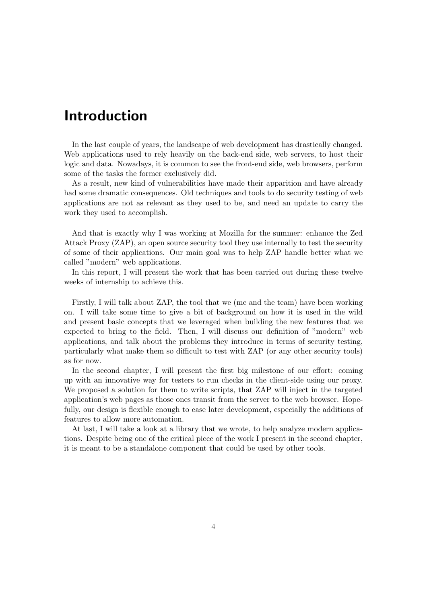## Introduction

In the last couple of years, the landscape of web development has drastically changed. Web applications used to rely heavily on the back-end side, web servers, to host their logic and data. Nowadays, it is common to see the front-end side, web browsers, perform some of the tasks the former exclusively did.

As a result, new kind of vulnerabilities have made their apparition and have already had some dramatic consequences. Old techniques and tools to do security testing of web applications are not as relevant as they used to be, and need an update to carry the work they used to accomplish.

And that is exactly why I was working at Mozilla for the summer: enhance the Zed Attack Proxy (ZAP), an open source security tool they use internally to test the security of some of their applications. Our main goal was to help ZAP handle better what we called "modern" web applications.

In this report, I will present the work that has been carried out during these twelve weeks of internship to achieve this.

Firstly, I will talk about ZAP, the tool that we (me and the team) have been working on. I will take some time to give a bit of background on how it is used in the wild and present basic concepts that we leveraged when building the new features that we expected to bring to the field. Then, I will discuss our definition of "modern" web applications, and talk about the problems they introduce in terms of security testing, particularly what make them so difficult to test with ZAP (or any other security tools) as for now.

In the second chapter, I will present the first big milestone of our effort: coming up with an innovative way for testers to run checks in the client-side using our proxy. We proposed a solution for them to write scripts, that ZAP will inject in the targeted application's web pages as those ones transit from the server to the web browser. Hopefully, our design is flexible enough to ease later development, especially the additions of features to allow more automation.

At last, I will take a look at a library that we wrote, to help analyze modern applications. Despite being one of the critical piece of the work I present in the second chapter, it is meant to be a standalone component that could be used by other tools.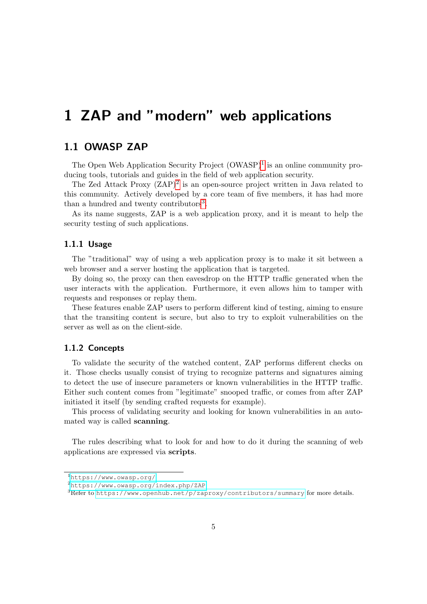## <span id="page-4-1"></span><span id="page-4-0"></span>1.1 OWASP ZAP

The Open Web Application Security Project  $(OWASP)^1$  $(OWASP)^1$  is an online community producing tools, tutorials and guides in the field of web application security.

The Zed Attack Proxy  $(ZAP)^2$  $(ZAP)^2$  is an open-source project written in Java related to this community. Actively developed by a core team of five members, it has had more than a hundred and twenty contributors<sup>[3](#page-4-6)</sup>.

As its name suggests, ZAP is a web application proxy, and it is meant to help the security testing of such applications.

### <span id="page-4-2"></span>1.1.1 Usage

The "traditional" way of using a web application proxy is to make it sit between a web browser and a server hosting the application that is targeted.

By doing so, the proxy can then eavesdrop on the HTTP traffic generated when the user interacts with the application. Furthermore, it even allows him to tamper with requests and responses or replay them.

These features enable ZAP users to perform different kind of testing, aiming to ensure that the transiting content is secure, but also to try to exploit vulnerabilities on the server as well as on the client-side.

### <span id="page-4-3"></span>1.1.2 Concepts

To validate the security of the watched content, ZAP performs different checks on it. Those checks usually consist of trying to recognize patterns and signatures aiming to detect the use of insecure parameters or known vulnerabilities in the HTTP traffic. Either such content comes from "legitimate" snooped traffic, or comes from after ZAP initiated it itself (by sending crafted requests for example).

This process of validating security and looking for known vulnerabilities in an automated way is called scanning.

The rules describing what to look for and how to do it during the scanning of web applications are expressed via scripts.

<span id="page-4-4"></span><sup>1</sup><https://www.owasp.org/>

<span id="page-4-5"></span><sup>2</sup><https://www.owasp.org/index.php/ZAP>

<span id="page-4-6"></span><sup>&</sup>lt;sup>3</sup>Refer to <https://www.openhub.net/p/zaproxy/contributors/summary> for more details.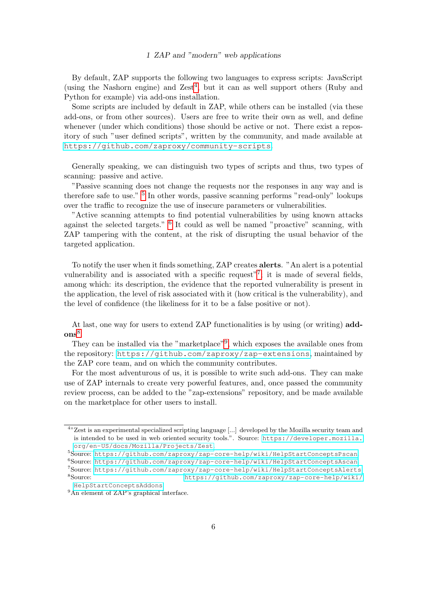By default, ZAP supports the following two languages to express scripts: JavaScript (using the Nashorn engine) and  $Zest<sup>4</sup>$  $Zest<sup>4</sup>$  $Zest<sup>4</sup>$ , but it can as well support others (Ruby and Python for example) via add-ons installation.

Some scripts are included by default in ZAP, while others can be installed (via these add-ons, or from other sources). Users are free to write their own as well, and define whenever (under which conditions) those should be active or not. There exist a repository of such "user defined scripts", written by the community, and made available at <https://github.com/zaproxy/community-scripts>.

Generally speaking, we can distinguish two types of scripts and thus, two types of scanning: passive and active.

"Passive scanning does not change the requests nor the responses in any way and is therefore safe to use." <sup>[5](#page-5-1)</sup> In other words, passive scanning performs "read-only" lookups over the traffic to recognize the use of insecure parameters or vulnerabilities.

"Active scanning attempts to find potential vulnerabilities by using known attacks against the selected targets." [6](#page-5-2) It could as well be named "proactive" scanning, with ZAP tampering with the content, at the risk of disrupting the usual behavior of the targeted application.

To notify the user when it finds something, ZAP creates alerts. "An alert is a potential vulnerability and is associated with a specific request"<sup>[7](#page-5-3)</sup>; it is made of several fields, among which: its description, the evidence that the reported vulnerability is present in the application, the level of risk associated with it (how critical is the vulnerability), and the level of confidence (the likeliness for it to be a false positive or not).

At last, one way for users to extend ZAP functionalities is by using (or writing) add- $ons<sup>8</sup>$  $ons<sup>8</sup>$  $ons<sup>8</sup>$ .

They can be installed via the "marketplace"<sup>[9](#page-5-5)</sup>, which exposes the available ones from the repository: <https://github.com/zaproxy/zap-extensions>, maintained by the ZAP core team, and on which the community contributes.

For the most adventurous of us, it is possible to write such add-ons. They can make use of ZAP internals to create very powerful features, and, once passed the community review process, can be added to the "zap-extensions" repository, and be made available on the marketplace for other users to install.

<span id="page-5-0"></span><sup>4</sup> "Zest is an experimental specialized scripting language [...] developed by the Mozilla security team and is intended to be used in web oriented security tools.". Source: [https://developer.mozilla.](https://developer.mozilla.org/en-US/docs/Mozilla/Projects/Zest) [org/en-US/docs/Mozilla/Projects/Zest](https://developer.mozilla.org/en-US/docs/Mozilla/Projects/Zest).

<span id="page-5-1"></span><sup>5</sup>Source: <https://github.com/zaproxy/zap-core-help/wiki/HelpStartConceptsPscan>.

<span id="page-5-2"></span><sup>6</sup>Source: <https://github.com/zaproxy/zap-core-help/wiki/HelpStartConceptsAscan>.

<span id="page-5-4"></span><span id="page-5-3"></span><sup>7</sup>Source: <https://github.com/zaproxy/zap-core-help/wiki/HelpStartConceptsAlerts> <sup>8</sup>Source: [https://github.com/zaproxy/zap-core-help/wiki/](https://github.com/zaproxy/zap-core-help/wiki/HelpStartConceptsAddons)

<span id="page-5-5"></span>[HelpStartConceptsAddons](https://github.com/zaproxy/zap-core-help/wiki/HelpStartConceptsAddons). <sup>9</sup>An element of ZAP's graphical interface.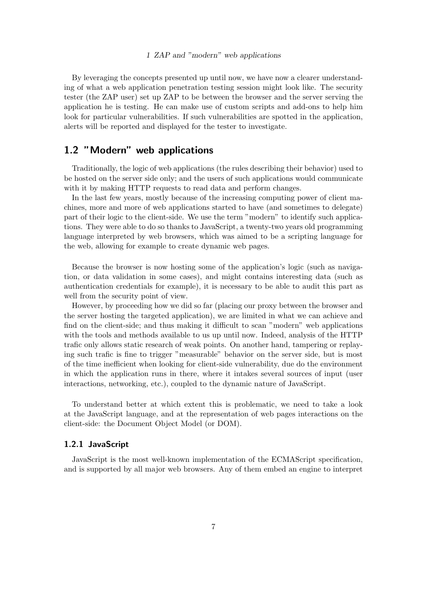By leveraging the concepts presented up until now, we have now a clearer understanding of what a web application penetration testing session might look like. The security tester (the ZAP user) set up ZAP to be between the browser and the server serving the application he is testing. He can make use of custom scripts and add-ons to help him look for particular vulnerabilities. If such vulnerabilities are spotted in the application, alerts will be reported and displayed for the tester to investigate.

### <span id="page-6-0"></span>1.2 "Modern" web applications

Traditionally, the logic of web applications (the rules describing their behavior) used to be hosted on the server side only; and the users of such applications would communicate with it by making HTTP requests to read data and perform changes.

In the last few years, mostly because of the increasing computing power of client machines, more and more of web applications started to have (and sometimes to delegate) part of their logic to the client-side. We use the term "modern" to identify such applications. They were able to do so thanks to JavaScript, a twenty-two years old programming language interpreted by web browsers, which was aimed to be a scripting language for the web, allowing for example to create dynamic web pages.

Because the browser is now hosting some of the application's logic (such as navigation, or data validation in some cases), and might contains interesting data (such as authentication credentials for example), it is necessary to be able to audit this part as well from the security point of view.

However, by proceeding how we did so far (placing our proxy between the browser and the server hosting the targeted application), we are limited in what we can achieve and find on the client-side; and thus making it difficult to scan "modern" web applications with the tools and methods available to us up until now. Indeed, analysis of the HTTP trafic only allows static research of weak points. On another hand, tampering or replaying such trafic is fine to trigger "measurable" behavior on the server side, but is most of the time inefficient when looking for client-side vulnerability, due do the environment in which the application runs in there, where it intakes several sources of input (user interactions, networking, etc.), coupled to the dynamic nature of JavaScript.

To understand better at which extent this is problematic, we need to take a look at the JavaScript language, and at the representation of web pages interactions on the client-side: the Document Object Model (or DOM).

### <span id="page-6-1"></span>1.2.1 JavaScript

JavaScript is the most well-known implementation of the ECMAScript specification, and is supported by all major web browsers. Any of them embed an engine to interpret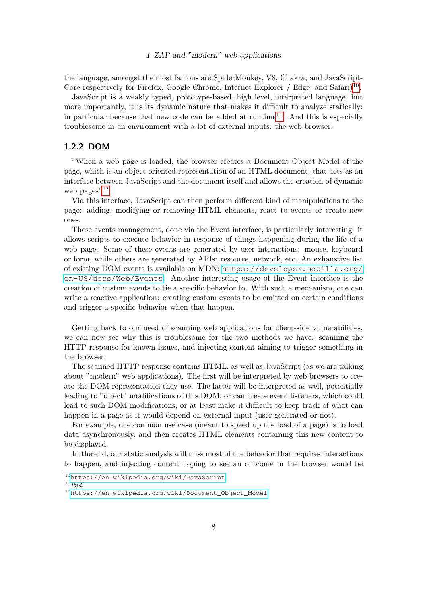the language, amongst the most famous are SpiderMonkey, V8, Chakra, and JavaScript-Core respectively for Firefox, Google Chrome, Internet Explorer / Edge, and Safari)<sup>[10](#page-7-1)</sup>.

JavaScript is a weakly typed, prototype-based, high level, interpreted language; but more importantly, it is its dynamic nature that makes it difficult to analyze statically: in particular because that new code can be added at runtime<sup>[11](#page-7-2)</sup>. And this is especially troublesome in an environment with a lot of external inputs: the web browser.

### <span id="page-7-0"></span>1.2.2 DOM

"When a web page is loaded, the browser creates a Document Object Model of the page, which is an object oriented representation of an HTML document, that acts as an interface between JavaScript and the document itself and allows the creation of dynamic web pages"<sup>[12](#page-7-3)</sup>.

Via this interface, JavaScript can then perform different kind of manipulations to the page: adding, modifying or removing HTML elements, react to events or create new ones.

These events management, done via the Event interface, is particularly interesting: it allows scripts to execute behavior in response of things happening during the life of a web page. Some of these events are generated by user interactions: mouse, keyboard or form, while others are generated by APIs: resource, network, etc. An exhaustive list of existing DOM events is available on MDN: [https://developer.mozilla.org/](https://developer.mozilla.org/en-US/docs/Web/Events) [en-US/docs/Web/Events](https://developer.mozilla.org/en-US/docs/Web/Events). Another interesting usage of the Event interface is the creation of custom events to tie a specific behavior to. With such a mechanism, one can write a reactive application: creating custom events to be emitted on certain conditions and trigger a specific behavior when that happen.

Getting back to our need of scanning web applications for client-side vulnerabilities, we can now see why this is troublesome for the two methods we have: scanning the HTTP response for known issues, and injecting content aiming to trigger something in the browser.

The scanned HTTP response contains HTML, as well as JavaScript (as we are talking about "modern" web applications). The first will be interpreted by web browsers to create the DOM representation they use. The latter will be interpreted as well, potentially leading to "direct" modifications of this DOM; or can create event listeners, which could lead to such DOM modifications, or at least make it difficult to keep track of what can happen in a page as it would depend on external input (user generated or not).

For example, one common use case (meant to speed up the load of a page) is to load data asynchronously, and then creates HTML elements containing this new content to be displayed.

In the end, our static analysis will miss most of the behavior that requires interactions to happen, and injecting content hoping to see an outcome in the browser would be

<span id="page-7-1"></span><sup>10</sup><https://en.wikipedia.org/wiki/JavaScript>

<span id="page-7-2"></span> $11$  Ibid.

<span id="page-7-3"></span><sup>12</sup>[https://en.wikipedia.org/wiki/Document\\_Object\\_Model](https://en.wikipedia.org/wiki/Document_Object_Model)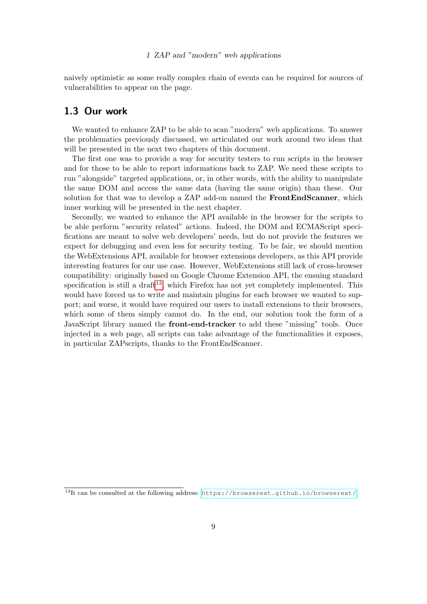naively optimistic as some really complex chain of events can be required for sources of vulnerabilities to appear on the page.

### <span id="page-8-0"></span>1.3 Our work

We wanted to enhance ZAP to be able to scan "modern" web applications. To answer the problematics previously discussed, we articulated our work around two ideas that will be presented in the next two chapters of this document.

The first one was to provide a way for security testers to run scripts in the browser and for those to be able to report informations back to ZAP. We need these scripts to run "alongside" targeted applications, or, in other words, with the ability to manipulate the same DOM and access the same data (having the same origin) than these. Our solution for that was to develop a ZAP add-on named the **FrontEndScanner**, which inner working will be presented in the next chapter.

Secondly, we wanted to enhance the API available in the browser for the scripts to be able perform "security related" actions. Indeed, the DOM and ECMAScript specifications are meant to solve web developers' needs, but do not provide the features we expect for debugging and even less for security testing. To be fair, we should mention the WebExtensions API, available for browser extensions developers, as this API provide interesting features for our use case. However, WebExtensions still lack of cross-browser compatibility: originally based on Google Chrome Extension API, the ensuing standard specification is still a draft<sup>[13](#page-8-1)</sup>, which Firefox has not yet completely implemented. This would have forced us to write and maintain plugins for each browser we wanted to support; and worse, it would have required our users to install extensions to their browsers, which some of them simply cannot do. In the end, our solution took the form of a JavaScript library named the **front-end-tracker** to add these "missing" tools. Once injected in a web page, all scripts can take advantage of the functionalities it exposes, in particular ZAPscripts, thanks to the FrontEndScanner.

<span id="page-8-1"></span><sup>13</sup>It can be consulted at the following address: <https://browserext.github.io/browserext/>.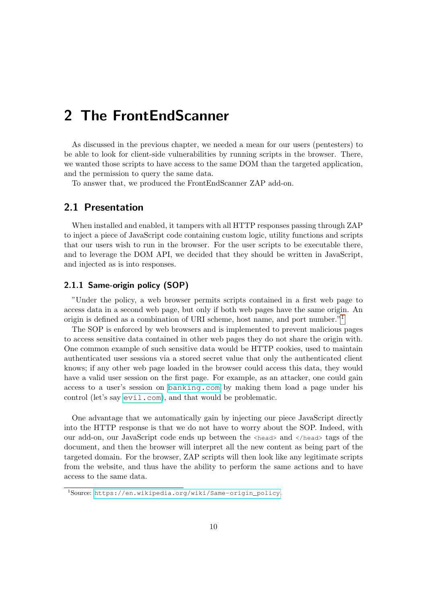<span id="page-9-0"></span>As discussed in the previous chapter, we needed a mean for our users (pentesters) to be able to look for client-side vulnerabilities by running scripts in the browser. There, we wanted those scripts to have access to the same DOM than the targeted application, and the permission to query the same data.

To answer that, we produced the FrontEndScanner ZAP add-on.

### <span id="page-9-1"></span>2.1 Presentation

When installed and enabled, it tampers with all HTTP responses passing through ZAP to inject a piece of JavaScript code containing custom logic, utility functions and scripts that our users wish to run in the browser. For the user scripts to be executable there, and to leverage the DOM API, we decided that they should be written in JavaScript, and injected as is into responses.

### <span id="page-9-2"></span>2.1.1 Same-origin policy (SOP)

"Under the policy, a web browser permits scripts contained in a first web page to access data in a second web page, but only if both web pages have the same origin. An origin is defined as a combination of URI scheme, host name, and port number.<sup>"[1](#page-9-3)</sup>

The SOP is enforced by web browsers and is implemented to prevent malicious pages to access sensitive data contained in other web pages they do not share the origin with. One common example of such sensitive data would be HTTP cookies, used to maintain authenticated user sessions via a stored secret value that only the authenticated client knows; if any other web page loaded in the browser could access this data, they would have a valid user session on the first page. For example, as an attacker, one could gain access to a user's session on <banking.com> by making them load a page under his control (let's say <evil.com>), and that would be problematic.

One advantage that we automatically gain by injecting our piece JavaScript directly into the HTTP response is that we do not have to worry about the SOP. Indeed, with our add-on, our JavaScript code ends up between the <head> and </head> tags of the document, and then the browser will interpret all the new content as being part of the targeted domain. For the browser, ZAP scripts will then look like any legitimate scripts from the website, and thus have the ability to perform the same actions and to have access to the same data.

<span id="page-9-3"></span><sup>1</sup>Source: [https://en.wikipedia.org/wiki/Same-origin\\_policy](https://en.wikipedia.org/wiki/Same-origin_policy).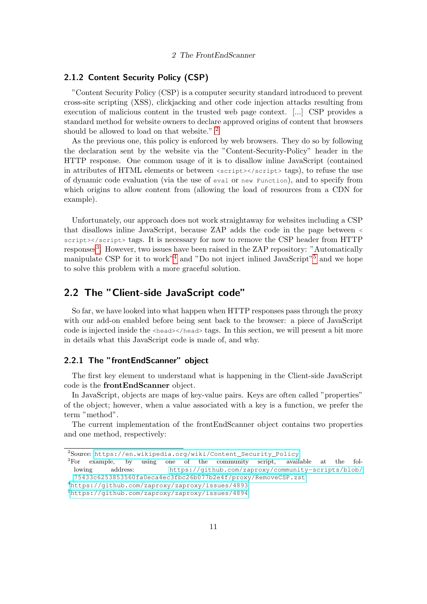### <span id="page-10-0"></span>2.1.2 Content Security Policy (CSP)

"Content Security Policy (CSP) is a computer security standard introduced to prevent cross-site scripting (XSS), clickjacking and other code injection attacks resulting from execution of malicious content in the trusted web page context. [...] CSP provides a standard method for website owners to declare approved origins of content that browsers should be allowed to load on that website." <sup>[2](#page-10-3)</sup>

As the previous one, this policy is enforced by web browsers. They do so by following the declaration sent by the website via the "Content-Security-Policy" header in the HTTP response. One common usage of it is to disallow inline JavaScript (contained in attributes of HTML elements or between  $\langle \text{script} \rangle \langle \text{script} \rangle$  tags), to refuse the use of dynamic code evaluation (via the use of eval or new Function), and to specify from which origins to allow content from (allowing the load of resources from a CDN for example).

Unfortunately, our approach does not work straightaway for websites including a CSP that disallows inline JavaScript, because ZAP adds the code in the page between < script></script> tags. It is necessary for now to remove the CSP header from HTTP responses<sup>[3](#page-10-4)</sup>. However, two issues have been raised in the ZAP repository: "Automatically manipulate CSP for it to work<sup>"[4](#page-10-5)</sup> and "Do not inject inlined JavaScript"<sup>[5](#page-10-6)</sup> and we hope to solve this problem with a more graceful solution.

### <span id="page-10-1"></span>2.2 The "Client-side JavaScript code"

So far, we have looked into what happen when HTTP responses pass through the proxy with our add-on enabled before being sent back to the browser: a piece of JavaScript code is injected inside the <head></head> tags. In this section, we will present a bit more in details what this JavaScript code is made of, and why.

### <span id="page-10-2"></span>2.2.1 The "frontEndScanner" object

The first key element to understand what is happening in the Client-side JavaScript code is the frontEndScanner object.

In JavaScript, objects are maps of key-value pairs. Keys are often called "properties" of the object; however, when a value associated with a key is a function, we prefer the term "method".

The current implementation of the frontEndScanner object contains two properties and one method, respectively:

<span id="page-10-3"></span><sup>2</sup>Source: [https://en.wikipedia.org/wiki/Content\\_Security\\_Policy](https://en.wikipedia.org/wiki/Content_Security_Policy).

<span id="page-10-4"></span><sup>3</sup>For example, by using one of the community script, available at the following address: [https://github.com/zaproxy/community-scripts/blob/](https://github.com/zaproxy/community-scripts/blob/75433c6253853560fa0eca4ec3fbc26b077b2e4f/proxy/Remove CSP.zst) [75433c6253853560fa0eca4ec3fbc26b077b2e4f/proxy/RemoveCSP.zst](https://github.com/zaproxy/community-scripts/blob/75433c6253853560fa0eca4ec3fbc26b077b2e4f/proxy/Remove CSP.zst).

<span id="page-10-5"></span><sup>4</sup><https://github.com/zaproxy/zaproxy/issues/4893>

<span id="page-10-6"></span>

<sup>5</sup><https://github.com/zaproxy/zaproxy/issues/4894>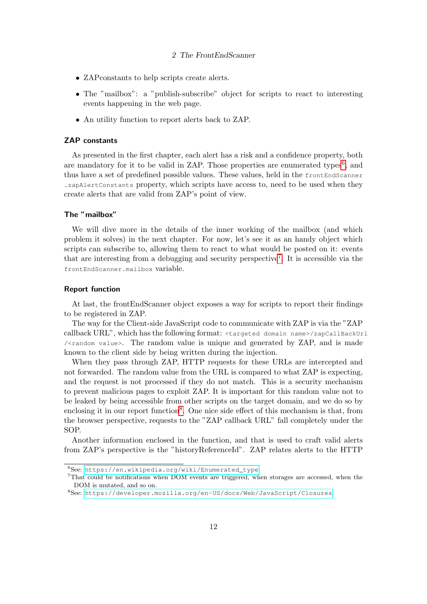- ZAPconstants to help scripts create alerts.
- The "mailbox": a "publish-subscribe" object for scripts to react to interesting events happening in the web page.
- An utility function to report alerts back to ZAP.

### ZAP constants

As presented in the first chapter, each alert has a risk and a confidence property, both are mandatory for it to be valid in ZAP. Those properties are enumerated types<sup>[6](#page-11-0)</sup>, and thus have a set of predefined possible values. These values, held in the frontEndScanner .zapAlertConstants property, which scripts have access to, need to be used when they create alerts that are valid from ZAP's point of view.

#### The "mailbox"

We will dive more in the details of the inner working of the mailbox (and which problem it solves) in the next chapter. For now, let's see it as an handy object which scripts can subscribe to, allowing them to react to what would be posted on it: events that are interesting from a debugging and security perspective<sup>[7](#page-11-1)</sup>. It is accessible via the frontEndScanner.mailbox variable.

#### <span id="page-11-3"></span>Report function

At last, the frontEndScanner object exposes a way for scripts to report their findings to be registered in ZAP.

The way for the Client-side JavaScript code to communicate with ZAP is via the "ZAP callback URL", which has the following format: <targeted domain name>/zapCallBackUrl /<random value>. The random value is unique and generated by ZAP, and is made known to the client side by being written during the injection.

When they pass through ZAP, HTTP requests for these URLs are intercepted and not forwarded. The random value from the URL is compared to what ZAP is expecting, and the request is not processed if they do not match. This is a security mechanism to prevent malicious pages to exploit ZAP. It is important for this random value not to be leaked by being accessible from other scripts on the target domain, and we do so by enclosing it in our report function<sup>[8](#page-11-2)</sup>. One nice side effect of this mechanism is that, from the browser perspective, requests to the "ZAP callback URL" fall completely under the SOP.

Another information enclosed in the function, and that is used to craft valid alerts from ZAP's perspective is the "historyReferenceId". ZAP relates alerts to the HTTP

<span id="page-11-0"></span> $6$ See: https://en.wikipedia.org/wiki/Enumerated type

<span id="page-11-1"></span><sup>7</sup>That could be notifications when DOM events are triggered, when storages are accessed, when the DOM is mutated, and so on.

<span id="page-11-2"></span><sup>8</sup>See: <https://developer.mozilla.org/en-US/docs/Web/JavaScript/Closures>.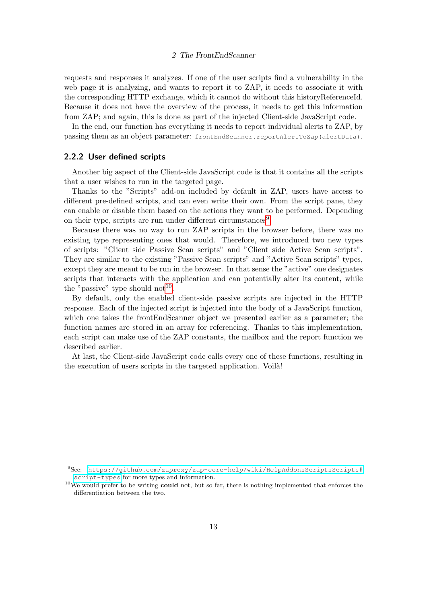requests and responses it analyzes. If one of the user scripts find a vulnerability in the web page it is analyzing, and wants to report it to ZAP, it needs to associate it with the corresponding HTTP exchange, which it cannot do without this historyReferenceId. Because it does not have the overview of the process, it needs to get this information from ZAP; and again, this is done as part of the injected Client-side JavaScript code.

In the end, our function has everything it needs to report individual alerts to ZAP, by passing them as an object parameter: frontEndScanner.reportAlertToZap(alertData).

### <span id="page-12-0"></span>2.2.2 User defined scripts

Another big aspect of the Client-side JavaScript code is that it contains all the scripts that a user wishes to run in the targeted page.

Thanks to the "Scripts" add-on included by default in ZAP, users have access to different pre-defined scripts, and can even write their own. From the script pane, they can enable or disable them based on the actions they want to be performed. Depending on their type, scripts are run under different circumstances<sup>[9](#page-12-1)</sup>.

Because there was no way to run ZAP scripts in the browser before, there was no existing type representing ones that would. Therefore, we introduced two new types of scripts: "Client side Passive Scan scripts" and "Client side Active Scan scripts". They are similar to the existing "Passive Scan scripts" and "Active Scan scripts" types, except they are meant to be run in the browser. In that sense the "active" one designates scripts that interacts with the application and can potentially alter its content, while the "passive" type should not<sup>[10](#page-12-2)</sup>.

By default, only the enabled client-side passive scripts are injected in the HTTP response. Each of the injected script is injected into the body of a JavaScript function, which one takes the frontEndScanner object we presented earlier as a parameter; the function names are stored in an array for referencing. Thanks to this implementation, each script can make use of the ZAP constants, the mailbox and the report function we described earlier.

At last, the Client-side JavaScript code calls every one of these functions, resulting in the execution of users scripts in the targeted application. Voila!

<span id="page-12-1"></span><sup>9</sup>See: [https://github.com/zaproxy/zap-core-help/wiki/HelpAddonsScriptsScripts#](https://github.com/zaproxy/zap-core-help/wiki/HelpAddonsScriptsScripts#script-types) [script-types](https://github.com/zaproxy/zap-core-help/wiki/HelpAddonsScriptsScripts#script-types) for more types and information.

<span id="page-12-2"></span> $10$ We would prefer to be writing could not, but so far, there is nothing implemented that enforces the differentiation between the two.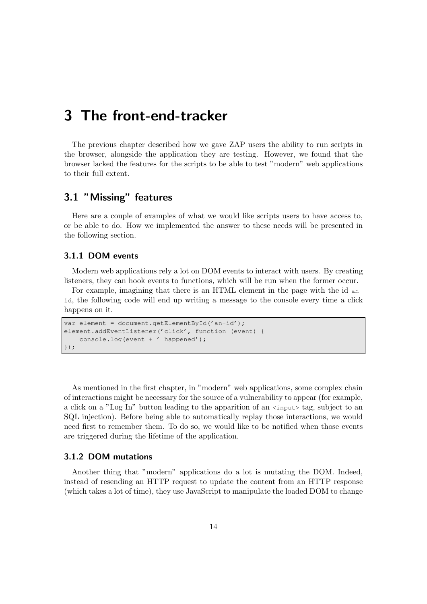<span id="page-13-0"></span>The previous chapter described how we gave ZAP users the ability to run scripts in the browser, alongside the application they are testing. However, we found that the browser lacked the features for the scripts to be able to test "modern" web applications to their full extent.

## <span id="page-13-1"></span>3.1 "Missing" features

Here are a couple of examples of what we would like scripts users to have access to, or be able to do. How we implemented the answer to these needs will be presented in the following section.

### <span id="page-13-2"></span>3.1.1 DOM events

Modern web applications rely a lot on DOM events to interact with users. By creating listeners, they can hook events to functions, which will be run when the former occur.

For example, imagining that there is an HTML element in the page with the id anid, the following code will end up writing a message to the console every time a click happens on it.

```
var element = document.getElementById('an-id');
element.addEventListener('click', function (event) {
    console.log(event + ' happened');
});
```
As mentioned in the first chapter, in "modern" web applications, some complex chain of interactions might be necessary for the source of a vulnerability to appear (for example, a click on a "Log In" button leading to the apparition of an <input> tag, subject to an SQL injection). Before being able to automatically replay those interactions, we would need first to remember them. To do so, we would like to be notified when those events are triggered during the lifetime of the application.

### <span id="page-13-3"></span>3.1.2 DOM mutations

Another thing that "modern" applications do a lot is mutating the DOM. Indeed, instead of resending an HTTP request to update the content from an HTTP response (which takes a lot of time), they use JavaScript to manipulate the loaded DOM to change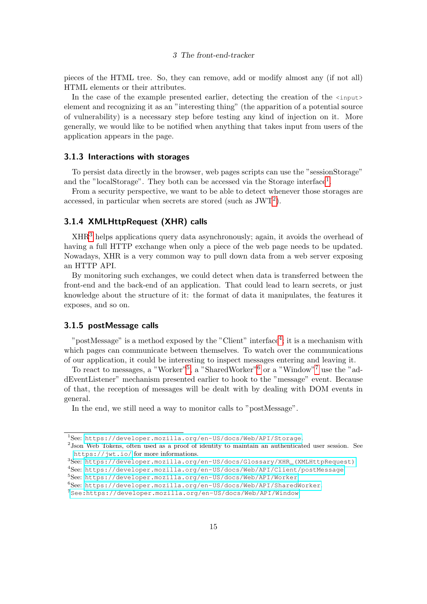pieces of the HTML tree. So, they can remove, add or modify almost any (if not all) HTML elements or their attributes.

In the case of the example presented earlier, detecting the creation of the  $\langle$ input element and recognizing it as an "interesting thing" (the apparition of a potential source of vulnerability) is a necessary step before testing any kind of injection on it. More generally, we would like to be notified when anything that takes input from users of the application appears in the page.

### <span id="page-14-0"></span>3.1.3 Interactions with storages

To persist data directly in the browser, web pages scripts can use the "sessionStorage" and the "localStorage". They both can be accessed via the Storage interface<sup>[1](#page-14-3)</sup>.

From a security perspective, we want to be able to detect whenever those storages are accessed, in particular when secrets are stored (such as  $JWT<sup>2</sup>$  $JWT<sup>2</sup>$  $JWT<sup>2</sup>$ ).

### <span id="page-14-1"></span>3.1.4 XMLHttpRequest (XHR) calls

XHR[3](#page-14-5) helps applications query data asynchronously; again, it avoids the overhead of having a full HTTP exchange when only a piece of the web page needs to be updated. Nowadays, XHR is a very common way to pull down data from a web server exposing an HTTP API.

By monitoring such exchanges, we could detect when data is transferred between the front-end and the back-end of an application. That could lead to learn secrets, or just knowledge about the structure of it: the format of data it manipulates, the features it exposes, and so on.

#### <span id="page-14-2"></span>3.1.5 postMessage calls

"postMessage" is a method exposed by the "Client" interface<sup>[4](#page-14-6)</sup>; it is a mechanism with which pages can communicate between themselves. To watch over the communications of our application, it could be interesting to inspect messages entering and leaving it.

To react to messages, a "Worker"<sup>[5](#page-14-7)</sup>, a "SharedWorker"<sup>[6](#page-14-8)</sup> or a "Window"<sup>[7](#page-14-9)</sup> use the "addEventListener" mechanism presented earlier to hook to the "message" event. Because of that, the reception of messages will be dealt with by dealing with DOM events in general.

In the end, we still need a way to monitor calls to "postMessage".

<span id="page-14-3"></span><sup>1</sup>See: <https://developer.mozilla.org/en-US/docs/Web/API/Storage>.

<span id="page-14-4"></span><sup>&</sup>lt;sup>2</sup> Json Web Tokens, often used as a proof of identity to maintain an authenticated user session. See <https://jwt.io/> for more informations.

<span id="page-14-5"></span><sup>3</sup>See: [https://developer.mozilla.org/en-US/docs/Glossary/XHR\\_\(XMLHttpRequest\)](https://developer.mozilla.org/en-US/docs/Glossary/XHR_(XMLHttpRequest)).

<span id="page-14-6"></span><sup>4</sup>See: <https://developer.mozilla.org/en-US/docs/Web/API/Client/postMessage>.

<span id="page-14-7"></span><sup>5</sup>See: <https://developer.mozilla.org/en-US/docs/Web/API/Worker>.

<span id="page-14-8"></span><sup>6</sup>See: <https://developer.mozilla.org/en-US/docs/Web/API/SharedWorker>.

<span id="page-14-9"></span><sup>7</sup>[See:https://developer.mozilla.org/en-US/docs/Web/API/Window](See: https://developer.mozilla.org/en-US/docs/Web/API/Window).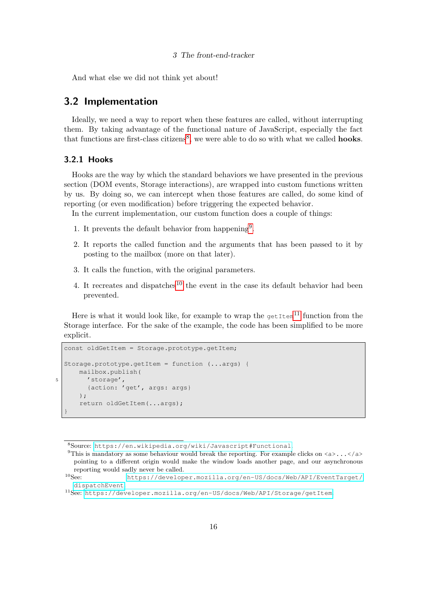And what else we did not think yet about!

### <span id="page-15-0"></span>3.2 Implementation

Ideally, we need a way to report when these features are called, without interrupting them. By taking advantage of the functional nature of JavaScript, especially the fact that functions are first-class citizens<sup>[8](#page-15-2)</sup>, we were able to do so with what we called **hooks**.

### <span id="page-15-1"></span>3.2.1 Hooks

Hooks are the way by which the standard behaviors we have presented in the previous section (DOM events, Storage interactions), are wrapped into custom functions written by us. By doing so, we can intercept when those features are called, do some kind of reporting (or even modification) before triggering the expected behavior.

In the current implementation, our custom function does a couple of things:

- 1. It prevents the default behavior from happening<sup>[9](#page-15-3)</sup>.
- 2. It reports the called function and the arguments that has been passed to it by posting to the mailbox (more on that later).
- 3. It calls the function, with the original parameters.
- 4. It recreates and dispatches<sup>[10](#page-15-4)</sup> the event in the case its default behavior had been prevented.

Here is what it would look like, for example to wrap the  $\det^{-1}$  function from the Storage interface. For the sake of the example, the code has been simplified to be more explicit.

```
const oldGetItem = Storage.prototype.getItem;
  Storage.prototype.getItem = function (...args) {
      mailbox.publish(
5 'storage',
        {action: 'get', args: args}
      );
      return oldGetItem(...args);
  }
```
<span id="page-15-2"></span><sup>8</sup>Source: <https://en.wikipedia.org/wiki/Javascript#Functional>.

<span id="page-15-3"></span><sup>&</sup>lt;sup>9</sup>This is mandatory as some behaviour would break the reporting. For example clicks on  $\langle a \rangle \ldots \langle a \rangle$ pointing to a different origin would make the window loads another page, and our asynchronous

<span id="page-15-4"></span>reporting would sadly never be called.<br> $^{10}\mathrm{S} \mathrm{e} \mathrm{e}$ https://develop [https://developer.mozilla.org/en-US/docs/Web/API/EventTarget/](https://developer.mozilla.org/en-US/docs/Web/API/EventTarget/dispatchEvent) [dispatchEvent](https://developer.mozilla.org/en-US/docs/Web/API/EventTarget/dispatchEvent).

<span id="page-15-5"></span><sup>11</sup>See: <https://developer.mozilla.org/en-US/docs/Web/API/Storage/getItem>.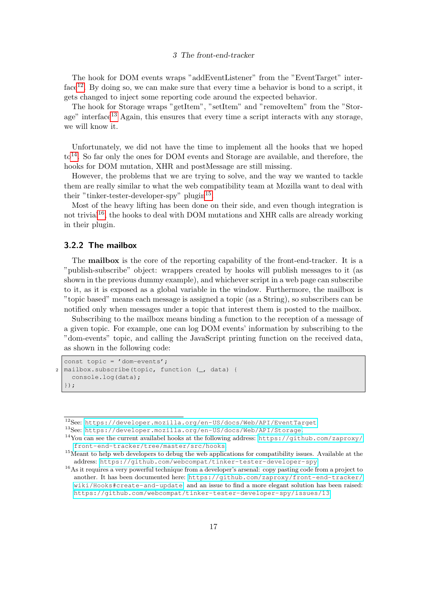The hook for DOM events wraps "addEventListener" from the "EventTarget" inter- $f \text{ace}^{12}$  $f \text{ace}^{12}$  $f \text{ace}^{12}$ . By doing so, we can make sure that every time a behavior is bond to a script, it gets changed to inject some reporting code around the expected behavior.

The hook for Storage wraps "getItem", "setItem" and "removeItem" from the "Stor-age" interface<sup>[13](#page-16-2)</sup> Again, this ensures that every time a script interacts with any storage, we will know it.

Unfortunately, we did not have the time to implement all the hooks that we hoped  $to<sup>14</sup>$  $to<sup>14</sup>$  $to<sup>14</sup>$ . So far only the ones for DOM events and Storage are available, and therefore, the hooks for DOM mutation, XHR and postMessage are still missing.

However, the problems that we are trying to solve, and the way we wanted to tackle them are really similar to what the web compatibility team at Mozilla want to deal with their "tinker-tester-developer-spy" plugin<sup>[15](#page-16-4)</sup>.

Most of the heavy lifting has been done on their side, and even though integration is not trivial<sup>[16](#page-16-5)</sup>, the hooks to deal with DOM mutations and XHR calls are already working in their plugin.

### <span id="page-16-0"></span>3.2.2 The mailbox

The mailbox is the core of the reporting capability of the front-end-tracker. It is a "publish-subscribe" object: wrappers created by hooks will publish messages to it (as shown in the previous dummy example), and whichever script in a web page can subscribe to it, as it is exposed as a global variable in the window. Furthermore, the mailbox is "topic based" means each message is assigned a topic (as a String), so subscribers can be notified only when messages under a topic that interest them is posted to the mailbox.

Subscribing to the mailbox means binding a function to the reception of a message of a given topic. For example, one can log DOM events' information by subscribing to the "dom-events" topic, and calling the JavaScript printing function on the received data, as shown in the following code:

```
const topic = 'dom-events';
2 \text{ [mailbox.subscripte (topic, function } (\underline{\ } , \underline{\ } )console.log(data);
   });
```
<span id="page-16-1"></span><sup>12</sup>See: <https://developer.mozilla.org/en-US/docs/Web/API/EventTarget>.

<span id="page-16-2"></span><sup>13</sup>See: <https://developer.mozilla.org/en-US/docs/Web/API/Storage>.

<span id="page-16-3"></span><sup>14</sup>You can see the current availabel hooks at the following address: [https://github.com/zaproxy/](https://github.com/zaproxy/front-end-tracker/tree/master/src/hooks) [front-end-tracker/tree/master/src/hooks](https://github.com/zaproxy/front-end-tracker/tree/master/src/hooks).

<span id="page-16-4"></span><sup>&</sup>lt;sup>15</sup>Meant to help web developers to debug the web applications for compatibility issues. Available at the address: <https://github.com/webcompat/tinker-tester-developer-spy>.

<span id="page-16-5"></span><sup>&</sup>lt;sup>16</sup>As it requires a very powerful technique from a developer's arsenal: copy pasting code from a project to another. It has been documented here: [https://github.com/zaproxy/front-end-tracker/](https://github.com/zaproxy/front-end-tracker/wiki/Hooks#create-and-update) [wiki/Hooks#create-and-update](https://github.com/zaproxy/front-end-tracker/wiki/Hooks#create-and-update), and an issue to find a more elegant solution has been raised: <https://github.com/webcompat/tinker-tester-developer-spy/issues/13>.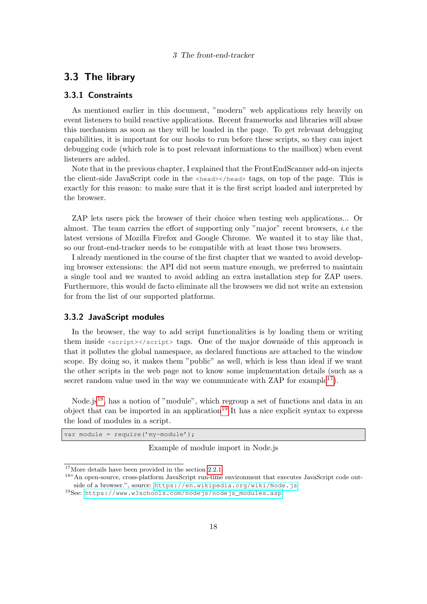### <span id="page-17-0"></span>3.3 The library

### <span id="page-17-1"></span>3.3.1 Constraints

As mentioned earlier in this document, "modern" web applications rely heavily on event listeners to build reactive applications. Recent frameworks and libraries will abuse this mechanism as soon as they will be loaded in the page. To get relevant debugging capabilities, it is important for our hooks to run before these scripts, so they can inject debugging code (which role is to post relevant informations to the mailbox) when event listeners are added.

Note that in the previous chapter, I explained that the FrontEndScanner add-on injects the client-side JavaScript code in the <head></head> tags, on top of the page. This is exactly for this reason: to make sure that it is the first script loaded and interpreted by the browser.

ZAP lets users pick the browser of their choice when testing web applications... Or almost. The team carries the effort of supporting only "major" recent browsers, *i.e* the latest versions of Mozilla Firefox and Google Chrome. We wanted it to stay like that, so our front-end-tracker needs to be compatible with at least those two browsers.

I already mentioned in the course of the first chapter that we wanted to avoid developing browser extensions: the API did not seem mature enough, we preferred to maintain a single tool and we wanted to avoid adding an extra installation step for ZAP users. Furthermore, this would de facto eliminate all the browsers we did not write an extension for from the list of our supported platforms.

### <span id="page-17-2"></span>3.3.2 JavaScript modules

In the browser, the way to add script functionalities is by loading them or writing them inside  $\langle \text{script} \rangle$   $\langle \text{script} \rangle$  tags. One of the major downside of this approach is that it pollutes the global namespace, as declared functions are attached to the window scope. By doing so, it makes them "public" as well, which is less than ideal if we want the other scripts in the web page not to know some implementation details (such as a secret random value used in the way we communicate with ZAP for example<sup>[17](#page-17-3)</sup>).

Node.js<sup>[18](#page-17-4)</sup>, has a notion of "module", which regroup a set of functions and data in an object that can be imported in an application<sup>[19](#page-17-5)</sup> It has a nice explicit syntax to express the load of modules in a script.

var module = require('my-module');

Example of module import in Node.js

<span id="page-17-3"></span><sup>&</sup>lt;sup>17</sup>More details have been provided in the section [2.2.1.](#page-11-3)

<span id="page-17-4"></span><sup>&</sup>lt;sup>18</sup>"An open-source, cross-platform JavaScript run-time environment that executes JavaScript code outside of a browser.", source: <https://en.wikipedia.org/wiki/Node.js>

<span id="page-17-5"></span><sup>19</sup>See: [https://www.w3schools.com/nodejs/nodejs\\_modules.asp](https://www.w3schools.com/nodejs/nodejs_modules.asp).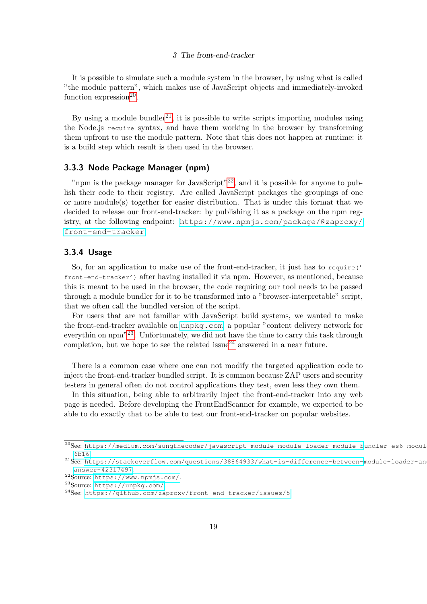It is possible to simulate such a module system in the browser, by using what is called "the module pattern", which makes use of JavaScript objects and immediately-invoked function expression<sup>[20](#page-18-2)</sup>.

By using a module bundler<sup>[21](#page-18-3)</sup>, it is possible to write scripts importing modules using the Node.js require syntax, and have them working in the browser by transforming them upfront to use the module pattern. Note that this does not happen at runtime: it is a build step which result is then used in the browser.

### <span id="page-18-0"></span>3.3.3 Node Package Manager (npm)

"npm is the package manager for JavaScript"<sup>[22](#page-18-4)</sup>, and it is possible for anyone to publish their code to their registry. Are called JavaScript packages the groupings of one or more module(s) together for easier distribution. That is under this format that we decided to release our front-end-tracker: by publishing it as a package on the npm registry, at the following endpoint: [https://www.npmjs.com/package/@zaproxy/](https://www.npmjs.com/package/@zaproxy/front-end-tracker) [front-end-tracker](https://www.npmjs.com/package/@zaproxy/front-end-tracker).

### <span id="page-18-1"></span>3.3.4 Usage

So, for an application to make use of the front-end-tracker, it just has to require(' front-end-tracker') after having installed it via npm. However, as mentioned, because this is meant to be used in the browser, the code requiring our tool needs to be passed through a module bundler for it to be transformed into a "browser-interpretable" script, that we often call the bundled version of the script.

For users that are not familiar with JavaScript build systems, we wanted to make the front-end-tracker available on <unpkg.com>, a popular "content delivery network for everythin on npm<sup>"[23](#page-18-5)</sup>. Unfortunately, we did not have the time to carry this task through completion, but we hope to see the related issue<sup>[24](#page-18-6)</sup> answered in a near future.

There is a common case where one can not modify the targeted application code to inject the front-end-tracker bundled script. It is common because ZAP users and security testers in general often do not control applications they test, even less they own them.

In this situation, being able to arbitrarily inject the front-end-tracker into any web page is needed. Before developing the FrontEndScanner for example, we expected to be able to do exactly that to be able to test our front-end-tracker on popular websites.

<span id="page-18-2"></span><sup>20</sup>See: [https://medium.com/sungthecoder/javascript-module-module-loader-module-b](https://medium.com/sungthecoder/javascript-module-module-loader-module-bundler-es6-module-confused-yet-6343510e7bde#6b16)undler-es6-modul [6b16](https://medium.com/sungthecoder/javascript-module-module-loader-module-bundler-es6-module-confused-yet-6343510e7bde#6b16).

<span id="page-18-3"></span> $^{21}$ See: [https://stackoverflow.com/questions/38864933/what-is-difference-between-](https://stackoverflow.com/questions/38864933/what-is-difference-between-module-loader-and-module-bundler-in-javascript#answer-42317497)module-loader-an [answer-42317497](https://stackoverflow.com/questions/38864933/what-is-difference-between-module-loader-and-module-bundler-in-javascript#answer-42317497).

<span id="page-18-4"></span><sup>22</sup>Source: <https://www.npmjs.com/>.

<span id="page-18-5"></span><sup>23</sup>Source: <https://unpkg.com/>.

<span id="page-18-6"></span> $^{24}$ See: <https://github.com/zaproxy/front-end-tracker/issues/5>.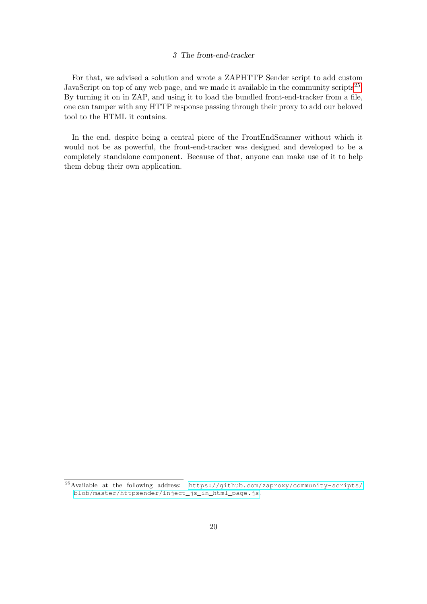For that, we advised a solution and wrote a ZAPHTTP Sender script to add custom JavaScript on top of any web page, and we made it available in the community scripts<sup>[25](#page-19-0)</sup>. By turning it on in ZAP, and using it to load the bundled front-end-tracker from a file, one can tamper with any HTTP response passing through their proxy to add our beloved tool to the HTML it contains.

In the end, despite being a central piece of the FrontEndScanner without which it would not be as powerful, the front-end-tracker was designed and developed to be a completely standalone component. Because of that, anyone can make use of it to help them debug their own application.

<span id="page-19-0"></span><sup>25</sup>Available at the following address: [https://github.com/zaproxy/community-scripts/](https://github.com/zaproxy/community-scripts/blob/master/httpsender/inject_js_in_html_page.js) [blob/master/httpsender/inject\\_js\\_in\\_html\\_page.js](https://github.com/zaproxy/community-scripts/blob/master/httpsender/inject_js_in_html_page.js).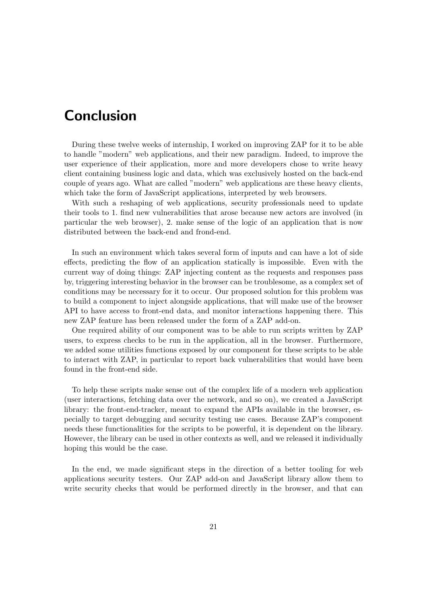## Conclusion

During these twelve weeks of internship, I worked on improving ZAP for it to be able to handle "modern" web applications, and their new paradigm. Indeed, to improve the user experience of their application, more and more developers chose to write heavy client containing business logic and data, which was exclusively hosted on the back-end couple of years ago. What are called "modern" web applications are these heavy clients, which take the form of JavaScript applications, interpreted by web browsers.

With such a reshaping of web applications, security professionals need to update their tools to 1. find new vulnerabilities that arose because new actors are involved (in particular the web browser), 2. make sense of the logic of an application that is now distributed between the back-end and frond-end.

In such an environment which takes several form of inputs and can have a lot of side effects, predicting the flow of an application statically is impossible. Even with the current way of doing things: ZAP injecting content as the requests and responses pass by, triggering interesting behavior in the browser can be troublesome, as a complex set of conditions may be necessary for it to occur. Our proposed solution for this problem was to build a component to inject alongside applications, that will make use of the browser API to have access to front-end data, and monitor interactions happening there. This new ZAP feature has been released under the form of a ZAP add-on.

One required ability of our component was to be able to run scripts written by ZAP users, to express checks to be run in the application, all in the browser. Furthermore, we added some utilities functions exposed by our component for these scripts to be able to interact with ZAP, in particular to report back vulnerabilities that would have been found in the front-end side.

To help these scripts make sense out of the complex life of a modern web application (user interactions, fetching data over the network, and so on), we created a JavaScript library: the front-end-tracker, meant to expand the APIs available in the browser, especially to target debugging and security testing use cases. Because ZAP's component needs these functionalities for the scripts to be powerful, it is dependent on the library. However, the library can be used in other contexts as well, and we released it individually hoping this would be the case.

In the end, we made significant steps in the direction of a better tooling for web applications security testers. Our ZAP add-on and JavaScript library allow them to write security checks that would be performed directly in the browser, and that can